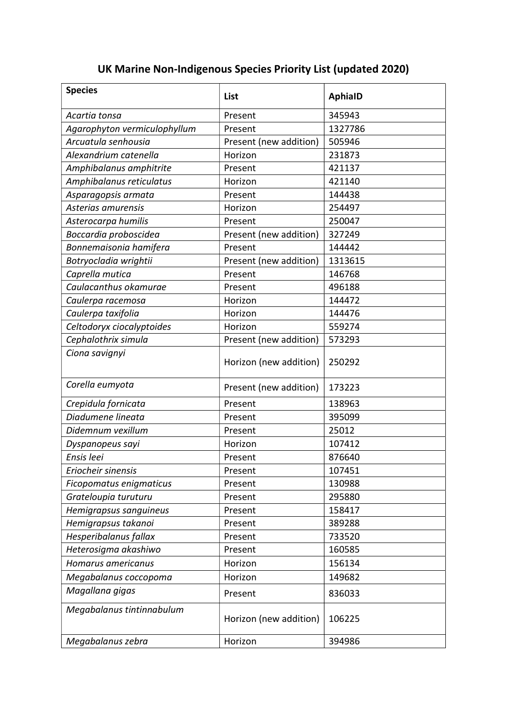## Species  $\vert$  List  $\vert$  AphiaID Acartia tonsa  $\vert$  Present  $\vert$  345943 Agarophyton vermiculophyllum Present 1327786 Arcuatula senhousia entrantieral present (new addition) 505946 Alexandrium catenella **Horizon** 231873 Amphibalanus amphitrite Present | 421137 Amphibalanus reticulatus | Horizon | 421140 Asparagopsis armata Present | 144438 Asterias amurensis **Asterias amurensis** Horizon 1254497 Asterocarpa humilis et al. Present 250047 Boccardia proboscidea Present (new addition) 327249 Bonnemaisonia hamifera Present | 144442 Botryocladia wrightii enterpresent (new addition) | 1313615 Caprella mutica **Present** Present 246768 Caulacanthus okamurae Present | 496188 Caulerpa racemosa (and 144472) Caulerpa taxifolia di este della della della della della della della della della della della della della della Celtodoryx ciocalyptoides | Horizon | 559274 Cephalothrix simula Present (new addition) 573293 Ciona savignyi Horizon (new addition) | 250292 Corella eumyota  $\vert$  Present (new addition) 173223 Crepidula fornicata Present | 138963 Diadumene lineata Present 295099 Didemnum vexillum Present 25012 Dyspanopeus sayi Horizon 107412 Ensis leei Roman Resent Resent 876640 Eriocheir sinensis **Present** Present 107451 Ficopomatus enigmaticus | Present | 130988 Grateloupia turuturu eta alegearen | Present | 295880 Hemigrapsus sanguineus | Present | 158417 Hemigrapsus takanoi Present | 389288 Hesperibalanus fallax Present | 733520 Heterosigma akashiwo Present | 160585 Homarus americanus de est est est el Horizon de la 156134 Megabalanus coccopoma di Horizon di 149682 Magallana gigas entitled by Present and R36033 Megabalanus tintinnabulum Horizon (new addition) | 106225 Megabalanus zebra | Horizon | 394986

## UK Marine Non-Indigenous Species Priority List (updated 2020)